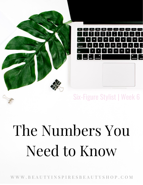

## Six-Figure Stylist | Week 6

# The Numbers You Need to Know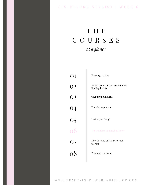#### SIX - FIGURE STYLIST | WEEK 6

## T H E C O U R S E S *at a glance*

| 01            | Non-negotiables                                     |
|---------------|-----------------------------------------------------|
| <b>O2</b>     | Master your energy + overcoming<br>limiting beliefs |
|               | <b>Creating Boundaries</b>                          |
| 03<br>04      | <b>Time Management</b>                              |
| $rac{05}{06}$ | Define your "why"                                   |
|               | The numbers you need to know                        |
|               | How to stand out in a crowded<br>market             |
| 07<br>08      | Develop your brand                                  |
|               |                                                     |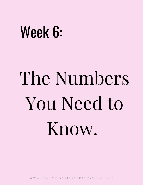## Week 6:

# The Numbers You Need to Know.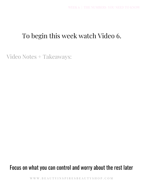## To begin this week watch Video 6.

Video Notes + Takeaways:

### Focus on what you can control and worry about the rest later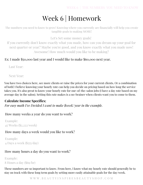## Week 6 | Homework

The numbers you need to know to grow! Knowing where you currently are financially will help you create tangible goals to making MORE!

Let's Set some money goals!

If you currently don't know exactly what you made, how can you dream up your goal for next quarter or year? Maybe you're good, and you know exactly what you made now! Awesome! How much would you like to be making?

#### Ex: I made \$50,000 last year and I would like to make \$60,000 next year.

Last Year:

Next Year:

You have two choices here, see more clients or raise the prices for your current clients. Or a combination of both! I believe knowing your hourly rate can help you decide on pricing based on how long the service takes you. It's also great to know your hourly rate for our-of-the-salon jobs (I have a day rate based on my average day in the salon). Setting this rate makes is a no-brainer when clients want you to come to them.

#### **Calculate Income Specifics;**

*For easy math I've Decided I want to make \$100K/year in the example.*

How many weeks a year do you want to work?

Example: 45 Weeks (\$2,222/week)

#### How many days a week would you like to work?

Example: 4 Days a week (\$555/day)

#### How many hours a day do you want to work?

Example: 8 Hours a day (\$69/hr)

These numbers are so important to know. From here, I know what my hourly rate should generally be to stay on track with these long term goals by setting more easily attainable goals for the day/week.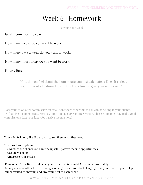## Week 6 | Homework

Now its your turn!

Goal Income for the year;

How many weeks do you want to work:

How many days a week do you want to work:

How many hours a day do you want to work:

Hourly Rate:

How do you feel about the hourly rate you just calculated? Does it reflect your current situation? Do you think it's time to give yourself a raise?

Does your salon offer commission on retail? Are there other things you can be selling to your clients? Ex. (Passive Income) Beauty Scripps, Lime Life, Beauty Counter, Virtue. These companies pay really good commissions! List your ideas for passive income here!

Your clients know, like  $\mathcal{C}$  trust you to sell them what they need!

You have three options:

- Nurture the clients you have the upsell + passive income opportunities 1.
- 2. Get new clients
- 3. Increase your prices.

Remember: Your time is valuable, your expertise is valuable! Charge appropriately! Money is just another form of energy exchange. Once you start charging what you're worth you will get super excited to show up and give your best to each client!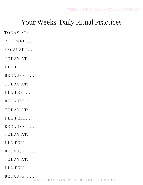## Your Weeks' Daily Ritual Practices

TODAY AT:

I'LL FEEL....

BECAUSE I....

TODAY AT:

I'LL FEEL....

BECAUSE I....

TODAY AT:

I'LL FEEL....

BECAUSE I....

TODAY AT:

 $I'LL$  FEEL....

BECAUSE I....

TODAY AT:

 $I'LL$  FEEL....

BECAUSE I....

TODAY AT:

I'LL FEEL....

BECAUSE I....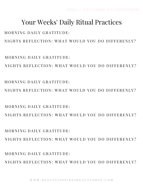MORNING DAILY GRATITUDE: NIGHTS REFLECTION: WHAT WOULD YOU DO DIFFERENLY?

 $M$  O R N I N G D A I L Y G R A T I T U D E  $\cdot$ NIGHTS REFLECTION: WHAT WOULD YOU DO DIFFERENLY?

MORNING DAILY GRATITUDE: NIGHTS REFLECTION: WHAT WOULD YOU DO DIFFERENLY?

NIGHTS REFLECTION: WHAT WOULD YOU DO DIFFERENLY?

 $MORNING$  DAILY GRATITUDE.

MORNING DAILY GRATITUDE:

NIGHTS REFLECTION: WHAT WOULD YOU DO DIFFERENLY?

NIGHTS REFLECTION: WHAT WOULD YOU DO DIFFERENLY?

## MORNING DAILY GRATITUDE:

## Your Weeks' Daily Ritual Practices

WEEK 6 | THE NUMBERS YOU NEED TO KNOW